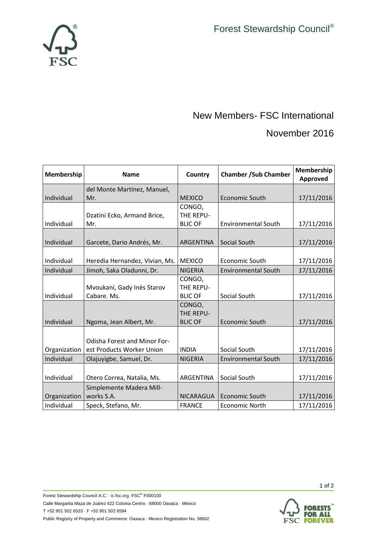

## New Members- FSC International

## November 2016

| Membership   | <b>Name</b>                         | Country          | <b>Chamber /Sub Chamber</b> | Membership<br>Approved |
|--------------|-------------------------------------|------------------|-----------------------------|------------------------|
|              | del Monte Martínez, Manuel,         |                  |                             |                        |
| Individual   | Mr.                                 | <b>MEXICO</b>    | <b>Economic South</b>       | 17/11/2016             |
|              |                                     | CONGO,           |                             |                        |
|              | Dzatini Ecko, Armand Brice,         | THE REPU-        |                             |                        |
| Individual   | Mr.                                 | <b>BLIC OF</b>   | <b>Environmental South</b>  | 17/11/2016             |
|              |                                     |                  |                             |                        |
| Individual   | Garcete, Dario Andrés, Mr.          | ARGENTINA        | Social South                | 17/11/2016             |
|              |                                     |                  |                             |                        |
| Individual   | Heredia Hernandez, Vivian, Ms.      | <b>MEXICO</b>    | Economic South              | 17/11/2016             |
| Individual   | Jimoh, Saka Oladunni, Dr.           | <b>NIGERIA</b>   | <b>Environmental South</b>  | 17/11/2016             |
|              |                                     | CONGO,           |                             |                        |
|              | Mvoukani, Gady Inès Starov          | THE REPU-        |                             |                        |
| Individual   | Cabare. Ms.                         | <b>BLIC OF</b>   | Social South                | 17/11/2016             |
|              |                                     | CONGO,           |                             |                        |
|              |                                     | THE REPU-        |                             |                        |
| Individual   | Ngoma, Jean Albert, Mr.             | <b>BLIC OF</b>   | <b>Economic South</b>       | 17/11/2016             |
|              |                                     |                  |                             |                        |
|              | <b>Odisha Forest and Minor For-</b> |                  |                             |                        |
| Organization | est Products Worker Union           | <b>INDIA</b>     | Social South                | 17/11/2016             |
| Individual   | Olajuyigbe, Samuel, Dr.             | <b>NIGERIA</b>   | <b>Environmental South</b>  | 17/11/2016             |
|              |                                     |                  |                             |                        |
| Individual   | Otero Correa, Natalia, Ms.          | ARGENTINA        | Social South                | 17/11/2016             |
|              | Simplemente Madera Mill-            |                  |                             |                        |
| Organization | works S.A.                          | <b>NICARAGUA</b> | Economic South              | 17/11/2016             |
| Individual   | Speck, Stefano, Mr.                 | <b>FRANCE</b>    | <b>Economic North</b>       | 17/11/2016             |